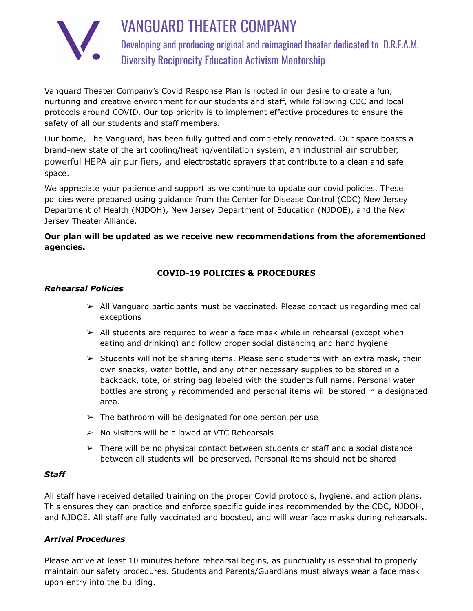

VANGUARD THEATER COMPANY Developing and producing original and reimagined theater dedicated to D.R.E.A.M. Diversity Reciprocity Education Activism Mentorship

Vanguard Theater Company's Covid Response Plan is rooted in our desire to create a fun, nurturing and creative environment for our students and staff, while following CDC and local protocols around COVID. Our top priority is to implement effective procedures to ensure the safety of all our students and staff members.

Our home, The Vanguard, has been fully gutted and completely renovated. Our space boasts a brand-new state of the art cooling/heating/ventilation system, an industrial air scrubber, powerful HEPA air purifiers, and electrostatic sprayers that contribute to a clean and safe space.

We appreciate your patience and support as we continue to update our covid policies. These policies were prepared using guidance from the Center for Disease Control (CDC) New Jersey Department of Health (NJDOH), New Jersey Department of Education (NJDOE), and the New Jersey Theater Alliance.

# **Our plan will be updated as we receive new recommendations from the aforementioned agencies.**

# **COVID-19 POLICIES & PROCEDURES**

### *Rehearsal Policies*

- $\ge$  All Vanguard participants must be vaccinated. Please contact us regarding medical exceptions
- $\triangleright$  All students are required to wear a face mask while in rehearsal (except when eating and drinking) and follow proper social distancing and hand hygiene
- $\triangleright$  Students will not be sharing items. Please send students with an extra mask, their own snacks, water bottle, and any other necessary supplies to be stored in a backpack, tote, or string bag labeled with the students full name. Personal water bottles are strongly recommended and personal items will be stored in a designated area.
- $\geq$  The bathroom will be designated for one person per use
- $\triangleright$  No visitors will be allowed at VTC Rehearsals
- $\triangleright$  There will be no physical contact between students or staff and a social distance between all students will be preserved. Personal items should not be shared

#### *Staff*

All staff have received detailed training on the proper Covid protocols, hygiene, and action plans. This ensures they can practice and enforce specific guidelines recommended by the CDC, NJDOH, and NJDOE. All staff are fully vaccinated and boosted, and will wear face masks during rehearsals.

### *Arrival Procedures*

Please arrive at least 10 minutes before rehearsal begins, as punctuality is essential to properly maintain our safety procedures. Students and Parents/Guardians must always wear a face mask upon entry into the building.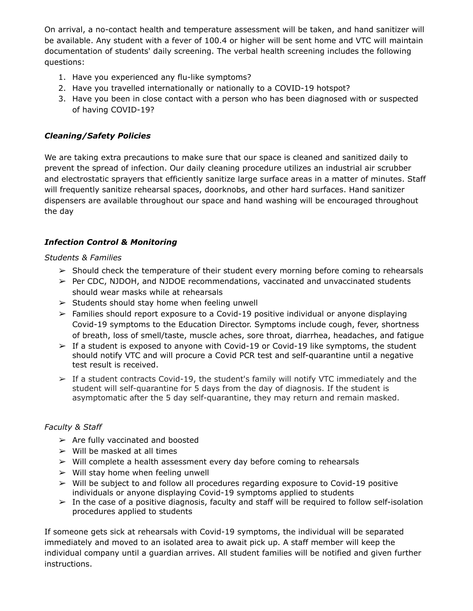On arrival, a no-contact health and temperature assessment will be taken, and hand sanitizer will be available. Any student with a fever of 100.4 or higher will be sent home and VTC will maintain documentation of students' daily screening. The verbal health screening includes the following questions:

- 1. Have you experienced any flu-like symptoms?
- 2. Have you travelled internationally or nationally to a COVID-19 hotspot?
- 3. Have you been in close contact with a person who has been diagnosed with or suspected of having COVID-19?

## *Cleaning/Safety Policies*

We are taking extra precautions to make sure that our space is cleaned and sanitized daily to prevent the spread of infection. Our daily cleaning procedure utilizes an industrial air scrubber and electrostatic sprayers that efficiently sanitize large surface areas in a matter of minutes. Staff will frequently sanitize rehearsal spaces, doorknobs, and other hard surfaces. Hand sanitizer dispensers are available throughout our space and hand washing will be encouraged throughout the day

## *Infection Control & Monitoring*

#### *Students & Families*

- $\triangleright$  Should check the temperature of their student every morning before coming to rehearsals
- $\triangleright$  Per CDC, NJDOH, and NJDOE recommendations, vaccinated and unvaccinated students should wear masks while at rehearsals
- $\geq$  Students should stay home when feeling unwell
- ➢ Families should report exposure to a Covid-19 positive individual or anyone displaying Covid-19 symptoms to the Education Director. Symptoms include cough, fever, shortness of breath, loss of smell/taste, muscle aches, sore throat, diarrhea, headaches, and fatigue
- $\geq$  If a student is exposed to anyone with Covid-19 or Covid-19 like symptoms, the student should notify VTC and will procure a Covid PCR test and self-quarantine until a negative test result is received.
- $\geq$  If a student contracts Covid-19, the student's family will notify VTC immediately and the student will self-quarantine for 5 days from the day of diagnosis. If the student is asymptomatic after the 5 day self-quarantine, they may return and remain masked.

### *Faculty & Staff*

- $\triangleright$  Are fully vaccinated and boosted
- $\triangleright$  Will be masked at all times
- ➢ Will complete a health assessment every day before coming to rehearsals
- $\triangleright$  Will stay home when feeling unwell
- $\triangleright$  Will be subject to and follow all procedures regarding exposure to Covid-19 positive individuals or anyone displaying Covid-19 symptoms applied to students
- $\triangleright$  In the case of a positive diagnosis, faculty and staff will be required to follow self-isolation procedures applied to students

If someone gets sick at rehearsals with Covid-19 symptoms, the individual will be separated immediately and moved to an isolated area to await pick up. A staff member will keep the individual company until a guardian arrives. All student families will be notified and given further instructions.